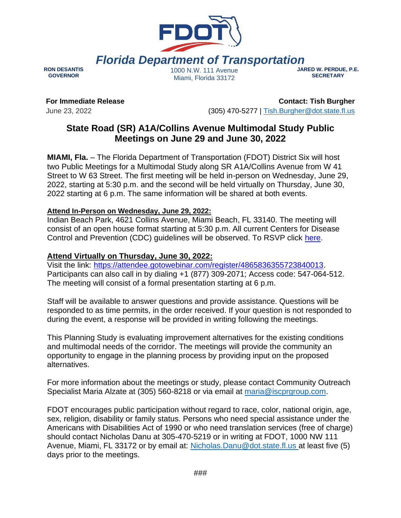

*Florida Department of Transportation*

**RON DESANTIS GOVERNOR**

1000 N.W. 111 Avenue Miami, Florida 33172

**JARED W. PERDUE, P.E. SECRETARY**

**For Immediate Release** June 23, 2022

**Contact: Tish Burgher** (305) 470-5277 | [Tish.Burgher@dot.state.fl.us](mailto:Tish.Burgher@dot.state.fl.us)

## **State Road (SR) A1A/Collins Avenue Multimodal Study Public Meetings on June 29 and June 30, 2022**

**MIAMI, Fla.** – The Florida Department of Transportation (FDOT) District Six will host two Public Meetings for a Multimodal Study along SR A1A/Collins Avenue from W 41 Street to W 63 Street. The first meeting will be held in-person on Wednesday, June 29, 2022, starting at 5:30 p.m. and the second will be held virtually on Thursday, June 30, 2022 starting at 6 p.m. The same information will be shared at both events.

## **Attend In-Person on Wednesday, June 29, 2022:**

Indian Beach Park, 4621 Collins Avenue, Miami Beach, FL 33140. The meeting will consist of an open house format starting at 5:30 p.m. All current Centers for Disease Control and Prevention (CDC) guidelines will be observed. To RSVP click [here.](http://www.fdotmiamidade.com/collinsavestudy)

## **Attend Virtually on Thursday, June 30, 2022:**

Visit the link: <https://attendee.gotowebinar.com/register/4865836355723840013>. Participants can also call in by dialing +1 (877) 309-2071; Access code: 547-064-512. The meeting will consist of a formal presentation starting at 6 p.m.

Staff will be available to answer questions and provide assistance. Questions will be responded to as time permits, in the order received. If your question is not responded to during the event, a response will be provided in writing following the meetings.

This Planning Study is evaluating improvement alternatives for the existing conditions and multimodal needs of the corridor. The meetings will provide the community an opportunity to engage in the planning process by providing input on the proposed alternatives.

For more information about the meetings or study, please contact Community Outreach Specialist Maria Alzate at (305) 560-8218 or via email at [maria@iscprgroup.com.](mailto:maria@iscprgroup.com)

FDOT encourages public participation without regard to race, color, national origin, age, sex, religion, disability or family status. Persons who need special assistance under the Americans with Disabilities Act of 1990 or who need translation services (free of charge) should contact Nicholas Danu at 305-470-5219 or in writing at FDOT, 1000 NW 111 Avenue, Miami, FL 33172 or by email at: [Nicholas.Danu@dot.state.fl.us a](file:///C:/Users/malzate/AppData/Local/Microsoft/Windows/INetCache/Content.Outlook/FH9QQND0/Nicholas.Danu@dot.state.fl.us)t least five (5) days prior to the meetings.